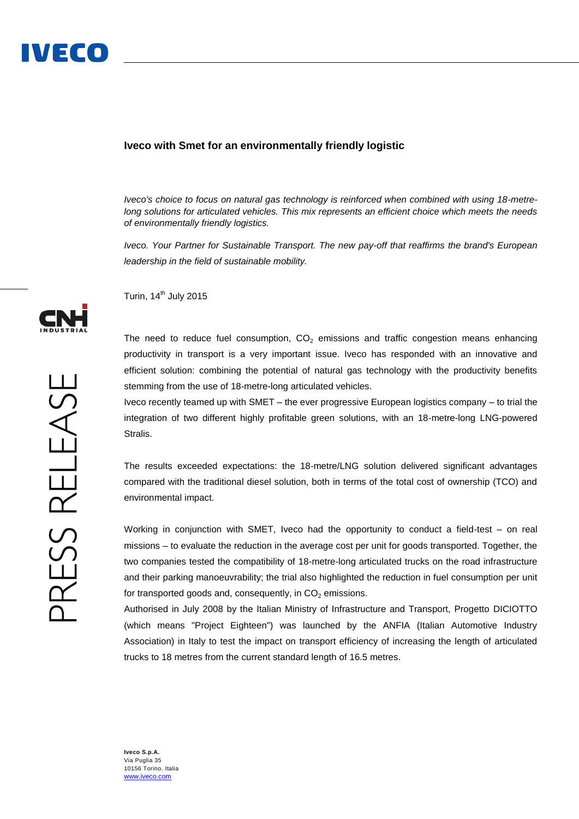## **Iveco with Smet for an environmentally friendly logistic**

*Iveco's choice to focus on natural gas technology is reinforced when combined with using 18-metrelong solutions for articulated vehicles. This mix represents an efficient choice which meets the needs of environmentally friendly logistics.* 

*Iveco. Your Partner for Sustainable Transport. The new pay-off that reaffirms the brand's European leadership in the field of sustainable mobility.*

Turin, 14<sup>th</sup> July 2015

The need to reduce fuel consumption,  $CO<sub>2</sub>$  emissions and traffic congestion means enhancing productivity in transport is a very important issue. Iveco has responded with an innovative and efficient solution: combining the potential of natural gas technology with the productivity benefits stemming from the use of 18-metre-long articulated vehicles.

Iveco recently teamed up with SMET – the ever progressive European logistics company – to trial the integration of two different highly profitable green solutions, with an 18-metre-long LNG-powered Stralis.

The results exceeded expectations: the 18-metre/LNG solution delivered significant advantages compared with the traditional diesel solution, both in terms of the total cost of ownership (TCO) and environmental impact.

Working in conjunction with SMET, Iveco had the opportunity to conduct a field-test – on real missions – to evaluate the reduction in the average cost per unit for goods transported. Together, the two companies tested the compatibility of 18-metre-long articulated trucks on the road infrastructure and their parking manoeuvrability; the trial also highlighted the reduction in fuel consumption per unit for transported goods and, consequently, in  $CO<sub>2</sub>$  emissions.

Authorised in July 2008 by the Italian Ministry of Infrastructure and Transport, Progetto DICIOTTO (which means "Project Eighteen") was launched by the ANFIA (Italian Automotive Industry Association) in Italy to test the impact on transport efficiency of increasing the length of articulated trucks to 18 metres from the current standard length of 16.5 metres.

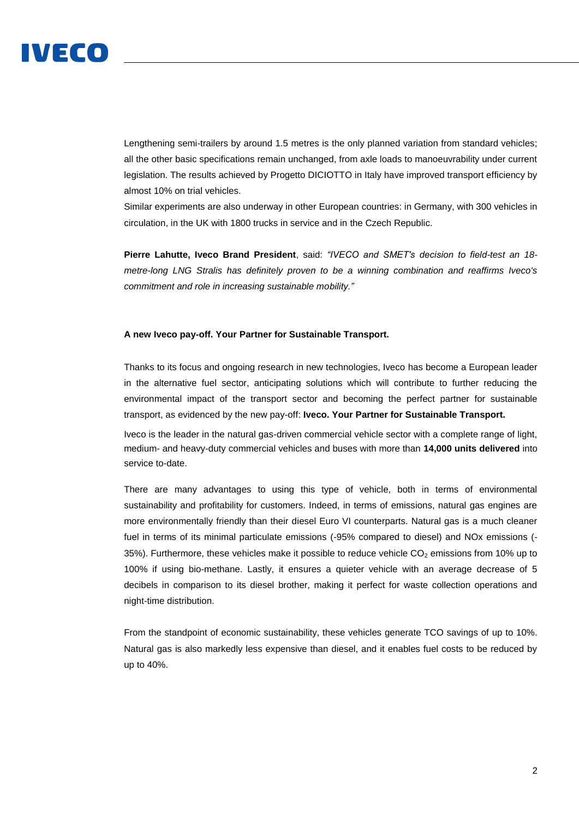

Lengthening semi-trailers by around 1.5 metres is the only planned variation from standard vehicles; all the other basic specifications remain unchanged, from axle loads to manoeuvrability under current legislation. The results achieved by Progetto DICIOTTO in Italy have improved transport efficiency by almost 10% on trial vehicles.

Similar experiments are also underway in other European countries: in Germany, with 300 vehicles in circulation, in the UK with 1800 trucks in service and in the Czech Republic.

**Pierre Lahutte, Iveco Brand President**, said: *"IVECO and SMET's decision to field-test an 18 metre-long LNG Stralis has definitely proven to be a winning combination and reaffirms Iveco's commitment and role in increasing sustainable mobility."* 

## **A new Iveco pay-off. Your Partner for Sustainable Transport.**

Thanks to its focus and ongoing research in new technologies, Iveco has become a European leader in the alternative fuel sector, anticipating solutions which will contribute to further reducing the environmental impact of the transport sector and becoming the perfect partner for sustainable transport, as evidenced by the new pay-off: **Iveco. Your Partner for Sustainable Transport.**

Iveco is the leader in the natural gas-driven commercial vehicle sector with a complete range of light, medium- and heavy-duty commercial vehicles and buses with more than **14,000 units delivered** into service to-date.

There are many advantages to using this type of vehicle, both in terms of environmental sustainability and profitability for customers. Indeed, in terms of emissions, natural gas engines are more environmentally friendly than their diesel Euro VI counterparts. Natural gas is a much cleaner fuel in terms of its minimal particulate emissions (-95% compared to diesel) and NOx emissions (- 35%). Furthermore, these vehicles make it possible to reduce vehicle  $CO<sub>2</sub>$  emissions from 10% up to 100% if using bio-methane. Lastly, it ensures a quieter vehicle with an average decrease of 5 decibels in comparison to its diesel brother, making it perfect for waste collection operations and night-time distribution.

From the standpoint of economic sustainability, these vehicles generate TCO savings of up to 10%. Natural gas is also markedly less expensive than diesel, and it enables fuel costs to be reduced by up to 40%.